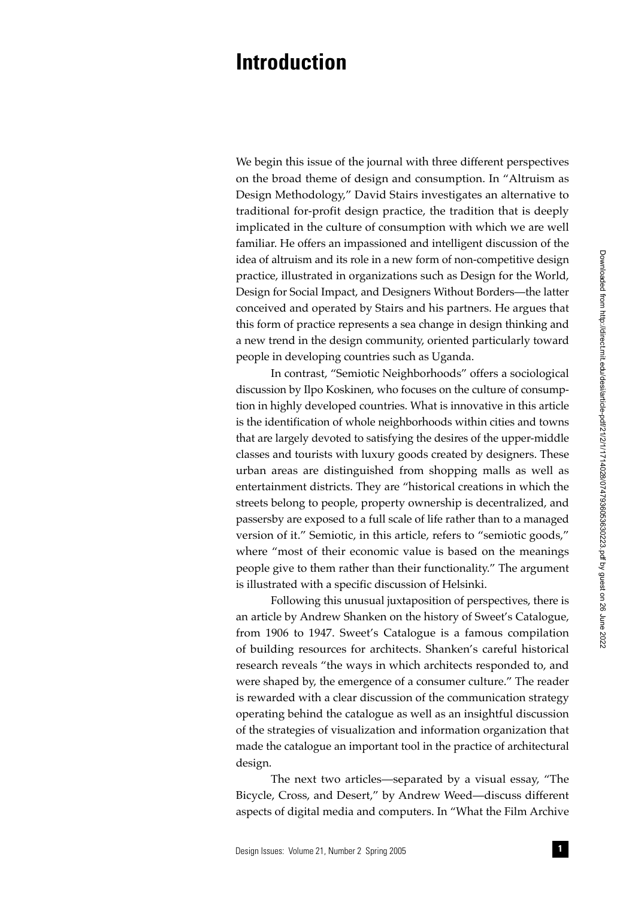## **Introduction**

We begin this issue of the journal with three different perspectives on the broad theme of design and consumption. In "Altruism as Design Methodology," David Stairs investigates an alternative to traditional for-profit design practice, the tradition that is deeply implicated in the culture of consumption with which we are well familiar. He offers an impassioned and intelligent discussion of the idea of altruism and its role in a new form of non-competitive design practice, illustrated in organizations such as Design for the World, Design for Social Impact, and Designers Without Borders—the latter conceived and operated by Stairs and his partners. He argues that this form of practice represents a sea change in design thinking and a new trend in the design community, oriented particularly toward people in developing countries such as Uganda.

In contrast, "Semiotic Neighborhoods" offers a sociological discussion by Ilpo Koskinen, who focuses on the culture of consumption in highly developed countries. What is innovative in this article is the identification of whole neighborhoods within cities and towns that are largely devoted to satisfying the desires of the upper-middle classes and tourists with luxury goods created by designers. These urban areas are distinguished from shopping malls as well as entertainment districts. They are "historical creations in which the streets belong to people, property ownership is decentralized, and passersby are exposed to a full scale of life rather than to a managed version of it." Semiotic, in this article, refers to "semiotic goods," where "most of their economic value is based on the meanings people give to them rather than their functionality." The argument is illustrated with a specific discussion of Helsinki.

Following this unusual juxtaposition of perspectives, there is an article by Andrew Shanken on the history of Sweet's Catalogue, from 1906 to 1947. Sweet's Catalogue is a famous compilation of building resources for architects. Shanken's careful historical research reveals "the ways in which architects responded to, and were shaped by, the emergence of a consumer culture." The reader is rewarded with a clear discussion of the communication strategy operating behind the catalogue as well as an insightful discussion of the strategies of visualization and information organization that made the catalogue an important tool in the practice of architectural design.

The next two articles—separated by a visual essay, "The Bicycle, Cross, and Desert," by Andrew Weed—discuss different aspects of digital media and computers. In "What the Film Archive